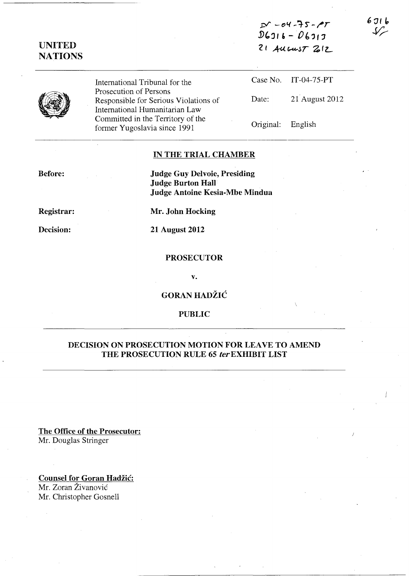*:cV* - *(')1.{* **-1-r -** ~T  $D6916 - D6913$  $21$  AUGUST  $212$ 

 $\bar{\alpha}$ 

**UNITED NATIONS** 

> International Tribunal for the Prosecution of Persons Responsible for Serious Violations of International Humanitarian Law Committed in the Territory of the former Yugoslavia since 1991

Case No. IT-04-75-PT Date: 21 August 2012 Original: English

# **IN THE TRIAL CHAMBER**

**Before:** 

**Judge Guy Delvoie, Presiding Judge Burton Hall Judge Antoine Kesia-Mbe Mindua** 

**Registrar:** 

**Mr. John Hocking** 

**Decision:** 

**21 August 2012** 

# **PROSECUTOR**

**v.** 

**GORAN HADŽIĆ** 

# **PUBLIC**

# **DECISION ON PROSECUTION MOTION FOR LEAVE TO AMEND THE PROSECUTION RULE 65 ler EXHIBIT LIST**

**The Office of the Prosecutor:**  Mr. Douglas Stringer

**Counsel for Goran Hadzic:**  Mr. Zoran Živanović Mr. Christopher Gosnell

سرک

 $671b$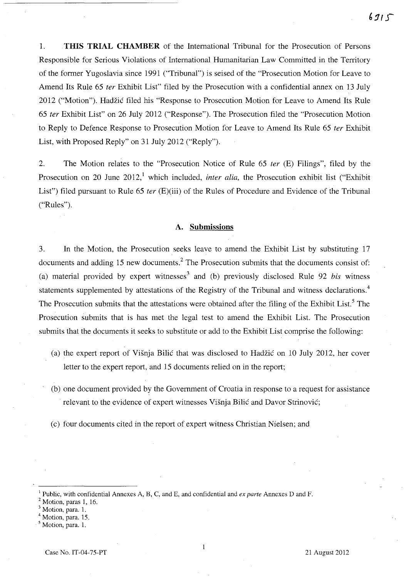1. THIS TRIAL CHAMBER of the International Tribunal for the Prosecution of Persons Responsible for Serious Violations of International Humanitarian Law Committed in the Territory of the former Yugoslavia since 1991 ("Tribunal") is seised of the "Prosecution Motion for Leave to Amend Its Rule 65 *ter* Exhibit List" filed by the Prosecution with a confidential annex on 13 July 2012 ("Motion"). Hadzic filed his "Response to Prosecution Motion for Leave to Amend Its Rule *65 ter* Exhibit List" on 26 July 2012 ("Response"). The Prosecution filed the "Prosecution Motion to Reply to Defence Response to Prosecution Motion for Leave to Amend Its Rule 65 *ter* Exhibit List, with Proposed Reply" on 31 July 2012 ("Reply").

2. The Motion relates to the "Prosecution Notice of Rule 65 *ter* (E) Filings", filed by the Prosecution on 20 June 2012,<sup>1</sup> which included, *inter alia*, the Prosecution exhibit list ("Exhibit") List") filed pursuant to Rule 65 *ter* (E)(iii) of the Rules of Procedure and Evidence of the Tribunal ("Rules").

### A. Submissions

3. In the Motion, the Prosecution seeks leave to amend the Exhibit List by substituting 17 documents and adding 15 new documents.<sup>2</sup> The Prosecution submits that the documents consist of: (a) material provided by expert witnesses<sup>3</sup> and (b) previously disclosed Rule 92 *bis* witness statements supplemented by attestations of the Registry of the Tribunal and witness declarations.<sup>4</sup> The Prosecution submits that the attestations were obtained after the filing of the Exhibit List.<sup>5</sup> The Prosecution submits that is has met the legal test to amend the Exhibit List. The Prosecution submits that the documents it seeks to substitute or add to the Exhibit List comprise the following:

- (a) the expert report of Visnja Bilic that was disclosed to Hadzic on 10 July 2012, her cover letter to the expert report, and 15 documents relied on in the report;
- (b) one document provided by the Government of Croatia in response to a request for assistance relevant to the evidence of expert witnesses Višnja Bilić and Davor Strinović;
- (c) four documents cited in the report of expert witness Christian Nielsen; and

<sup>I</sup>Public, with confidential Annexes A, B, C, and E, and confidential and *ex parte* Annexes D and F.

Motion, paras 1, 16.

Motion, para. 1.

Motion, para. 15.

Motion, para. 1.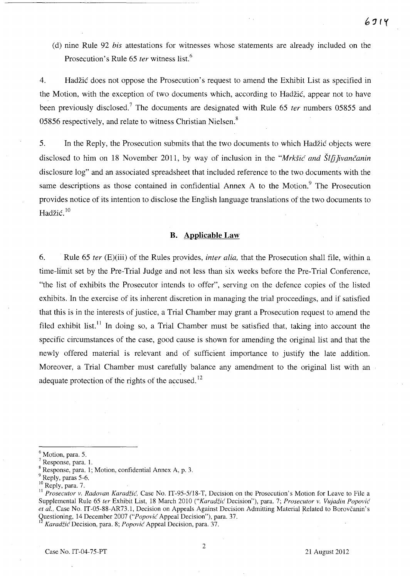(d) nine Rule 92 *bis* attestations for witnesses whose statements are already included on the Prosecution's Rule 65 *ter* witness list. <sup>6</sup>

4. Hadzic does not oppose the Prosecution's request to amend the Exhibit List as specified in the Motion, with the exception of two documents which, according to Hadzic, appear not to have been previously disclosed.<sup>7</sup> The documents are designated with Rule 65 *ter* numbers 05855 and 05856 respectively, and relate to witness Christian Nielsen.<sup>8</sup>

5. In the Reply, the Prosecution submits that the two documents to which Hadzic objects were disclosed to him on 18 November 2011, by way of inclusion in the *"Mrksic and Sl[jjivancanin*  disclosure log" and an associated spreadsheet that included reference to the two documents with the same descriptions as those contained in confidential Annex A to the Motion.<sup>9</sup> The Prosecution provides notice of its intention to disclose the English language translations of the two documents to Hadžić. $10$ 

## **B. Applicable Law**

6. Rule 65 *ter* (E)(iii) of the Rules provides, *inter alia,* that the Prosecution shall file, within a time-limit set by the Pre-Trial Judge and not less than six weeks before the Pre-Trial Conference, "the list of exhibits the Prosecutor intends to offer", serving on the defence copies of the listed exhibits. In the exercise of its inherent discretion in managing the trial proceedings, and if satisfied that this is in the interests of justice, a Trial Chamber may grant a Prosecution request to amend the filed exhibit list.<sup>11</sup> In doing so, a Trial Chamber must be satisfied that, taking into account the specific circumstances of the case, good cause is shown for amending the original list and that the newly offered material is relevant and of sufficient importance to justify the late addition. Moreover, a Trial Chamber must carefully balance any amendment to the original list with an adequate protection of the rights of the accused.<sup>12</sup>

<sup>12</sup>*KaradzicDecision,* para. 8; *Popovic* Appeal Decision, para. 37.

<sup>&</sup>lt;sup>6</sup> Motion, para. 5.

<sup>7</sup> Response, para. 1.

<sup>8</sup> Response, para. 1; Motion, confidential Annex A, p. 3.

<sup>&</sup>lt;sup>9</sup> Reply, paras 5-6.

 $10$  Reply, para. 7.

<sup>&</sup>lt;sup>11</sup> Prosecutor v. Radovan Karadžić, Case No. IT-95-5/18-T, Decision on the Prosecution's Motion for Leave to File a Supplemental Rule 65 *ter* Exhibit List, 18 March 2010 *("Karadzic* Decision"), para. 7; *Prosecutor v. Vujadin Popovic et al.,* Case No. IT -05-88-AR73.1, Decision on Appeals Against Decision Admitting Material Related to Borovcanin's Questioning, 14 December 2007 *("Popovic* Appeal Decision"), para. 37.